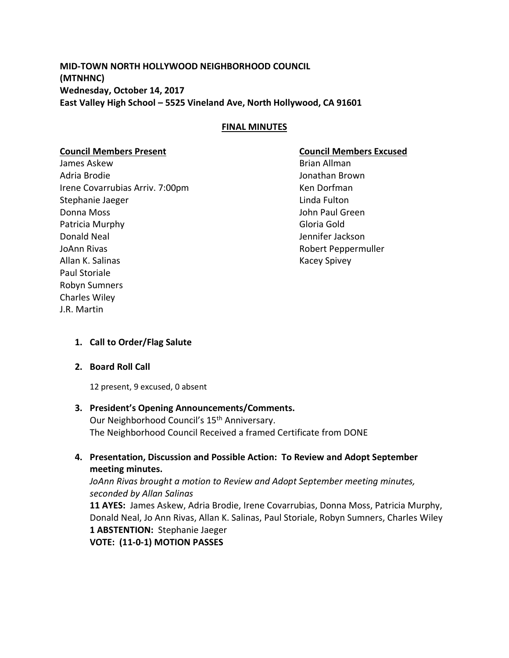**MID-TOWN NORTH HOLLYWOOD NEIGHBORHOOD COUNCIL (MTNHNC) Wednesday, October 14, 2017 East Valley High School – 5525 Vineland Ave, North Hollywood, CA 91601**

## **FINAL MINUTES**

## **Council Members Present Council Members Excused**

James Askew **Brian Allman** Adria Brodie Jonathan Brown Irene Covarrubias Arriv. 7:00pm Ken Dorfman Stephanie Jaeger **Linda Fulton** Donna Moss John Paul Green Patricia Murphy **Gloria Gold** Donald Neal Jennifer Jackson JoAnn Rivas **Robert Peppermuller** Allan K. Salinas **Kacey Spivey** Kacey Spivey Paul Storiale Robyn Sumners Charles Wiley J.R. Martin

### **1. Call to Order/Flag Salute**

### **2. Board Roll Call**

12 present, 9 excused, 0 absent

# **3. President's Opening Announcements/Comments.**

Our Neighborhood Council's 15<sup>th</sup> Anniversary. The Neighborhood Council Received a framed Certificate from DONE

# **4. Presentation, Discussion and Possible Action: To Review and Adopt September meeting minutes.**

*JoAnn Rivas brought a motion to Review and Adopt September meeting minutes, seconded by Allan Salinas*

**11 AYES:** James Askew, Adria Brodie, Irene Covarrubias, Donna Moss, Patricia Murphy, Donald Neal, Jo Ann Rivas, Allan K. Salinas, Paul Storiale, Robyn Sumners, Charles Wiley **1 ABSTENTION:** Stephanie Jaeger

**VOTE: (11-0-1) MOTION PASSES**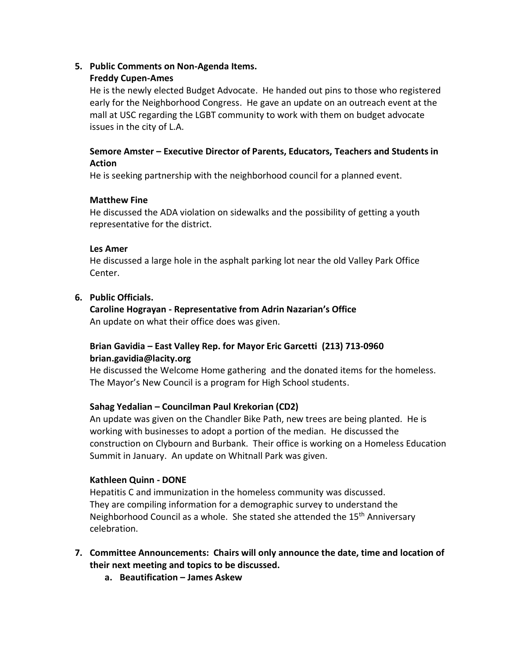## **5. Public Comments on Non-Agenda Items.**

## **Freddy Cupen-Ames**

He is the newly elected Budget Advocate. He handed out pins to those who registered early for the Neighborhood Congress. He gave an update on an outreach event at the mall at USC regarding the LGBT community to work with them on budget advocate issues in the city of L.A.

## **Semore Amster – Executive Director of Parents, Educators, Teachers and Students in Action**

He is seeking partnership with the neighborhood council for a planned event.

## **Matthew Fine**

He discussed the ADA violation on sidewalks and the possibility of getting a youth representative for the district.

## **Les Amer**

He discussed a large hole in the asphalt parking lot near the old Valley Park Office Center.

# **6. Public Officials.**

**Caroline Hograyan - Representative from Adrin Nazarian's Office** An update on what their office does was given.

# **Brian Gavidia – East Valley Rep. for Mayor Eric Garcetti (213) 713-0960 brian.gavidia@lacity.org**

He discussed the Welcome Home gathering and the donated items for the homeless. The Mayor's New Council is a program for High School students.

# **Sahag Yedalian – Councilman Paul Krekorian (CD2)**

An update was given on the Chandler Bike Path, new trees are being planted. He is working with businesses to adopt a portion of the median. He discussed the construction on Clybourn and Burbank. Their office is working on a Homeless Education Summit in January. An update on Whitnall Park was given.

# **Kathleen Quinn - DONE**

Hepatitis C and immunization in the homeless community was discussed. They are compiling information for a demographic survey to understand the Neighborhood Council as a whole. She stated she attended the 15<sup>th</sup> Anniversary celebration.

- **7. Committee Announcements: Chairs will only announce the date, time and location of their next meeting and topics to be discussed.**
	- **a. Beautification – James Askew**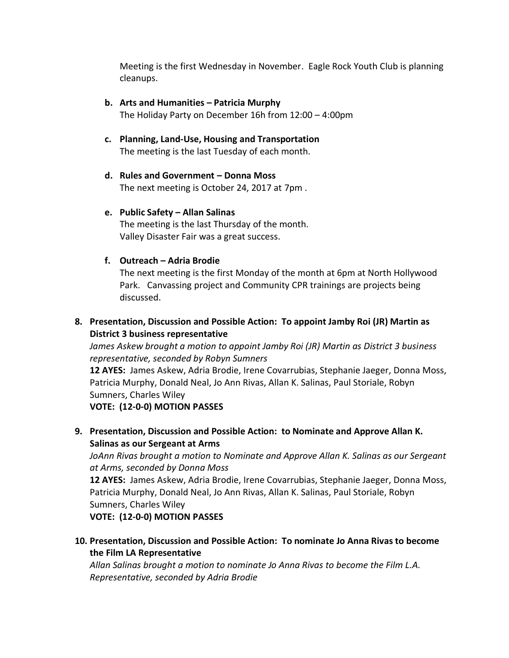Meeting is the first Wednesday in November. Eagle Rock Youth Club is planning cleanups.

- **b. Arts and Humanities – Patricia Murphy** The Holiday Party on December 16h from 12:00 – 4:00pm
- **c. Planning, Land-Use, Housing and Transportation** The meeting is the last Tuesday of each month.
- **d. Rules and Government – Donna Moss** The next meeting is October 24, 2017 at 7pm .

## **e. Public Safety – Allan Salinas**

The meeting is the last Thursday of the month. Valley Disaster Fair was a great success.

# **f. Outreach – Adria Brodie**

The next meeting is the first Monday of the month at 6pm at North Hollywood Park. Canvassing project and Community CPR trainings are projects being discussed.

# **8. Presentation, Discussion and Possible Action: To appoint Jamby Roi (JR) Martin as District 3 business representative**

*James Askew brought a motion to appoint Jamby Roi (JR) Martin as District 3 business representative, seconded by Robyn Sumners* 

**12 AYES:** James Askew, Adria Brodie, Irene Covarrubias, Stephanie Jaeger, Donna Moss, Patricia Murphy, Donald Neal, Jo Ann Rivas, Allan K. Salinas, Paul Storiale, Robyn Sumners, Charles Wiley

**VOTE: (12-0-0) MOTION PASSES**

**9. Presentation, Discussion and Possible Action: to Nominate and Approve Allan K. Salinas as our Sergeant at Arms**

*JoAnn Rivas brought a motion to Nominate and Approve Allan K. Salinas as our Sergeant at Arms, seconded by Donna Moss*

**12 AYES:** James Askew, Adria Brodie, Irene Covarrubias, Stephanie Jaeger, Donna Moss, Patricia Murphy, Donald Neal, Jo Ann Rivas, Allan K. Salinas, Paul Storiale, Robyn Sumners, Charles Wiley

**VOTE: (12-0-0) MOTION PASSES**

**10. Presentation, Discussion and Possible Action: To nominate Jo Anna Rivas to become the Film LA Representative**

*Allan Salinas brought a motion to nominate Jo Anna Rivas to become the Film L.A. Representative, seconded by Adria Brodie*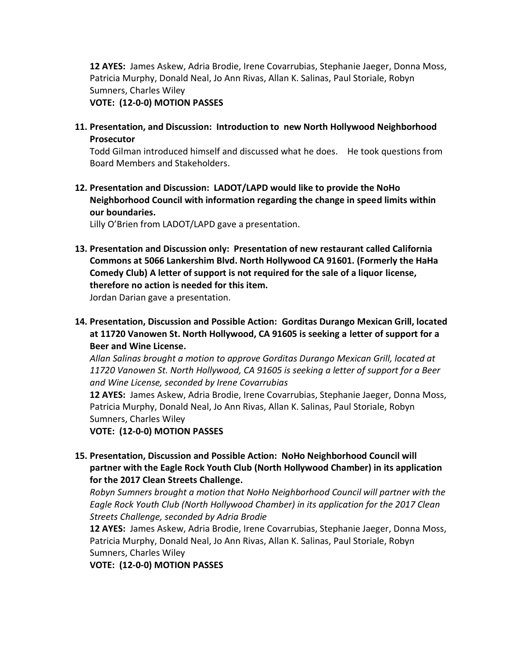**12 AYES:** James Askew, Adria Brodie, Irene Covarrubias, Stephanie Jaeger, Donna Moss, Patricia Murphy, Donald Neal, Jo Ann Rivas, Allan K. Salinas, Paul Storiale, Robyn Sumners, Charles Wiley

**VOTE: (12-0-0) MOTION PASSES**

**11. Presentation, and Discussion: Introduction to new North Hollywood Neighborhood Prosecutor**

Todd Gilman introduced himself and discussed what he does. He took questions from Board Members and Stakeholders.

**12. Presentation and Discussion: LADOT/LAPD would like to provide the NoHo Neighborhood Council with information regarding the change in speed limits within our boundaries.**

Lilly O'Brien from LADOT/LAPD gave a presentation.

- **13. Presentation and Discussion only: Presentation of new restaurant called California Commons at 5066 Lankershim Blvd. North Hollywood CA 91601. (Formerly the HaHa Comedy Club) A letter of support is not required for the sale of a liquor license, therefore no action is needed for this item.** Jordan Darian gave a presentation.
- **14. Presentation, Discussion and Possible Action: Gorditas Durango Mexican Grill, located at 11720 Vanowen St. North Hollywood, CA 91605 is seeking a letter of support for a Beer and Wine License.**

*Allan Salinas brought a motion to approve Gorditas Durango Mexican Grill, located at 11720 Vanowen St. North Hollywood, CA 91605 is seeking a letter of support for a Beer and Wine License, seconded by Irene Covarrubias*

**12 AYES:** James Askew, Adria Brodie, Irene Covarrubias, Stephanie Jaeger, Donna Moss, Patricia Murphy, Donald Neal, Jo Ann Rivas, Allan K. Salinas, Paul Storiale, Robyn Sumners, Charles Wiley

**VOTE: (12-0-0) MOTION PASSES**

**15. Presentation, Discussion and Possible Action: NoHo Neighborhood Council will partner with the Eagle Rock Youth Club (North Hollywood Chamber) in its application for the 2017 Clean Streets Challenge.**

*Robyn Sumners brought a motion that NoHo Neighborhood Council will partner with the Eagle Rock Youth Club (North Hollywood Chamber) in its application for the 2017 Clean Streets Challenge, seconded by Adria Brodie*

**12 AYES:** James Askew, Adria Brodie, Irene Covarrubias, Stephanie Jaeger, Donna Moss, Patricia Murphy, Donald Neal, Jo Ann Rivas, Allan K. Salinas, Paul Storiale, Robyn Sumners, Charles Wiley

**VOTE: (12-0-0) MOTION PASSES**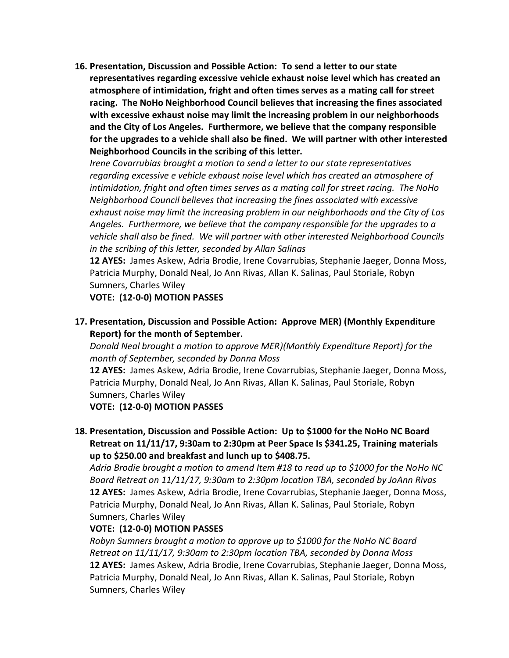**16. Presentation, Discussion and Possible Action: To send a letter to our state representatives regarding excessive vehicle exhaust noise level which has created an atmosphere of intimidation, fright and often times serves as a mating call for street racing. The NoHo Neighborhood Council believes that increasing the fines associated with excessive exhaust noise may limit the increasing problem in our neighborhoods and the City of Los Angeles. Furthermore, we believe that the company responsible for the upgrades to a vehicle shall also be fined. We will partner with other interested Neighborhood Councils in the scribing of this letter.**

*Irene Covarrubias brought a motion to send a letter to our state representatives regarding excessive e vehicle exhaust noise level which has created an atmosphere of intimidation, fright and often times serves as a mating call for street racing. The NoHo Neighborhood Council believes that increasing the fines associated with excessive exhaust noise may limit the increasing problem in our neighborhoods and the City of Los Angeles. Furthermore, we believe that the company responsible for the upgrades to a vehicle shall also be fined. We will partner with other interested Neighborhood Councils in the scribing of this letter, seconded by Allan Salinas*

**12 AYES:** James Askew, Adria Brodie, Irene Covarrubias, Stephanie Jaeger, Donna Moss, Patricia Murphy, Donald Neal, Jo Ann Rivas, Allan K. Salinas, Paul Storiale, Robyn Sumners, Charles Wiley

**VOTE: (12-0-0) MOTION PASSES**

**17. Presentation, Discussion and Possible Action: Approve MER) (Monthly Expenditure Report) for the month of September.**

*Donald Neal brought a motion to approve MER)(Monthly Expenditure Report) for the month of September, seconded by Donna Moss*

**12 AYES:** James Askew, Adria Brodie, Irene Covarrubias, Stephanie Jaeger, Donna Moss, Patricia Murphy, Donald Neal, Jo Ann Rivas, Allan K. Salinas, Paul Storiale, Robyn Sumners, Charles Wiley

**VOTE: (12-0-0) MOTION PASSES**

**18. Presentation, Discussion and Possible Action: Up to \$1000 for the NoHo NC Board Retreat on 11/11/17, 9:30am to 2:30pm at Peer Space Is \$341.25, Training materials up to \$250.00 and breakfast and lunch up to \$408.75.**

*Adria Brodie brought a motion to amend Item #18 to read up to \$1000 for the NoHo NC Board Retreat on 11/11/17, 9:30am to 2:30pm location TBA, seconded by JoAnn Rivas* **12 AYES:** James Askew, Adria Brodie, Irene Covarrubias, Stephanie Jaeger, Donna Moss, Patricia Murphy, Donald Neal, Jo Ann Rivas, Allan K. Salinas, Paul Storiale, Robyn Sumners, Charles Wiley

## **VOTE: (12-0-0) MOTION PASSES**

*Robyn Sumners brought a motion to approve up to \$1000 for the NoHo NC Board Retreat on 11/11/17, 9:30am to 2:30pm location TBA, seconded by Donna Moss* **12 AYES:** James Askew, Adria Brodie, Irene Covarrubias, Stephanie Jaeger, Donna Moss, Patricia Murphy, Donald Neal, Jo Ann Rivas, Allan K. Salinas, Paul Storiale, Robyn Sumners, Charles Wiley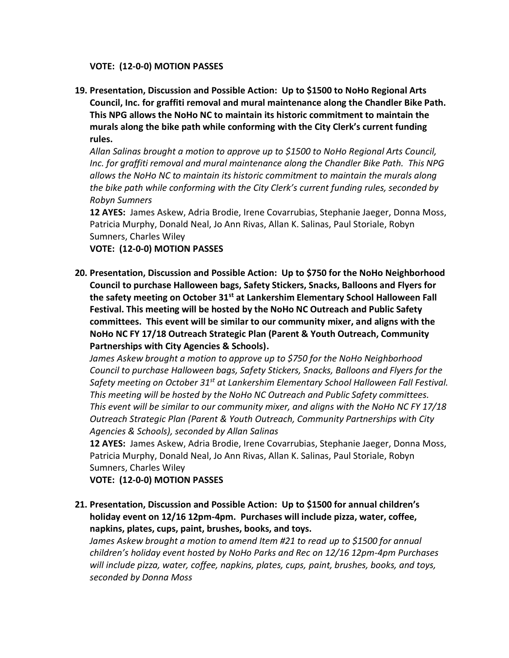**VOTE: (12-0-0) MOTION PASSES**

**19. Presentation, Discussion and Possible Action: Up to \$1500 to NoHo Regional Arts Council, Inc. for graffiti removal and mural maintenance along the Chandler Bike Path. This NPG allows the NoHo NC to maintain its historic commitment to maintain the murals along the bike path while conforming with the City Clerk's current funding rules.**

*Allan Salinas brought a motion to approve up to \$1500 to NoHo Regional Arts Council, Inc. for graffiti removal and mural maintenance along the Chandler Bike Path. This NPG allows the NoHo NC to maintain its historic commitment to maintain the murals along the bike path while conforming with the City Clerk's current funding rules, seconded by Robyn Sumners*

**12 AYES:** James Askew, Adria Brodie, Irene Covarrubias, Stephanie Jaeger, Donna Moss, Patricia Murphy, Donald Neal, Jo Ann Rivas, Allan K. Salinas, Paul Storiale, Robyn Sumners, Charles Wiley

**VOTE: (12-0-0) MOTION PASSES**

**20. Presentation, Discussion and Possible Action: Up to \$750 for the NoHo Neighborhood Council to purchase Halloween bags, Safety Stickers, Snacks, Balloons and Flyers for the safety meeting on October 31st at Lankershim Elementary School Halloween Fall Festival. This meeting will be hosted by the NoHo NC Outreach and Public Safety committees. This event will be similar to our community mixer, and aligns with the NoHo NC FY 17/18 Outreach Strategic Plan (Parent & Youth Outreach, Community Partnerships with City Agencies & Schools).**

*James Askew brought a motion to approve up to \$750 for the NoHo Neighborhood Council to purchase Halloween bags, Safety Stickers, Snacks, Balloons and Flyers for the Safety meeting on October 31st at Lankershim Elementary School Halloween Fall Festival. This meeting will be hosted by the NoHo NC Outreach and Public Safety committees. This event will be similar to our community mixer, and aligns with the NoHo NC FY 17/18 Outreach Strategic Plan (Parent & Youth Outreach, Community Partnerships with City Agencies & Schools), seconded by Allan Salinas*

**12 AYES:** James Askew, Adria Brodie, Irene Covarrubias, Stephanie Jaeger, Donna Moss, Patricia Murphy, Donald Neal, Jo Ann Rivas, Allan K. Salinas, Paul Storiale, Robyn Sumners, Charles Wiley

**VOTE: (12-0-0) MOTION PASSES**

**21. Presentation, Discussion and Possible Action: Up to \$1500 for annual children's holiday event on 12/16 12pm-4pm. Purchases will include pizza, water, coffee, napkins, plates, cups, paint, brushes, books, and toys.**

*James Askew brought a motion to amend Item #21 to read up to \$1500 for annual children's holiday event hosted by NoHo Parks and Rec on 12/16 12pm-4pm Purchases will include pizza, water, coffee, napkins, plates, cups, paint, brushes, books, and toys, seconded by Donna Moss*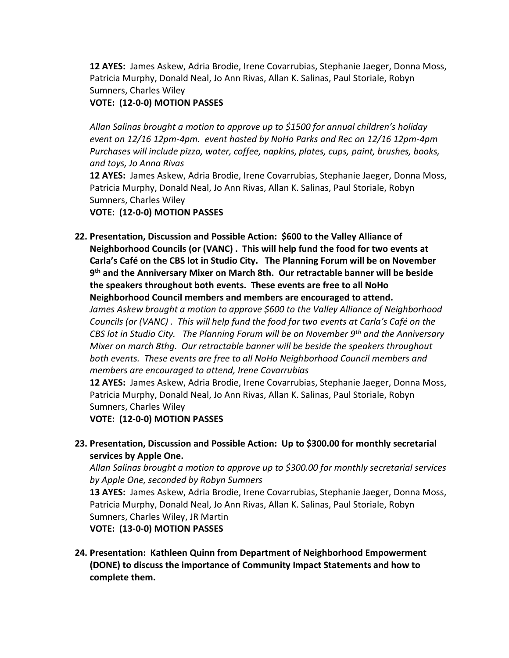**12 AYES:** James Askew, Adria Brodie, Irene Covarrubias, Stephanie Jaeger, Donna Moss, Patricia Murphy, Donald Neal, Jo Ann Rivas, Allan K. Salinas, Paul Storiale, Robyn Sumners, Charles Wiley

## **VOTE: (12-0-0) MOTION PASSES**

*Allan Salinas brought a motion to approve up to \$1500 for annual children's holiday event on 12/16 12pm-4pm. event hosted by NoHo Parks and Rec on 12/16 12pm-4pm Purchases will include pizza, water, coffee, napkins, plates, cups, paint, brushes, books, and toys, Jo Anna Rivas*

**12 AYES:** James Askew, Adria Brodie, Irene Covarrubias, Stephanie Jaeger, Donna Moss, Patricia Murphy, Donald Neal, Jo Ann Rivas, Allan K. Salinas, Paul Storiale, Robyn Sumners, Charles Wiley

**VOTE: (12-0-0) MOTION PASSES**

**22. Presentation, Discussion and Possible Action: \$600 to the Valley Alliance of Neighborhood Councils (or (VANC) . This will help fund the food for two events at Carla's Café on the CBS lot in Studio City. The Planning Forum will be on November 9 th and the Anniversary Mixer on March 8th. Our retractable banner will be beside the speakers throughout both events. These events are free to all NoHo Neighborhood Council members and members are encouraged to attend.**

*James Askew brought a motion to approve \$600 to the Valley Alliance of Neighborhood Councils (or (VANC) . This will help fund the food for two events at Carla's Café on the CBS lot in Studio City. The Planning Forum will be on November 9th and the Anniversary Mixer on march 8thg. Our retractable banner will be beside the speakers throughout both events. These events are free to all NoHo Neighborhood Council members and members are encouraged to attend, Irene Covarrubias*

**12 AYES:** James Askew, Adria Brodie, Irene Covarrubias, Stephanie Jaeger, Donna Moss, Patricia Murphy, Donald Neal, Jo Ann Rivas, Allan K. Salinas, Paul Storiale, Robyn Sumners, Charles Wiley

**VOTE: (12-0-0) MOTION PASSES**

**23. Presentation, Discussion and Possible Action: Up to \$300.00 for monthly secretarial services by Apple One.**

*Allan Salinas brought a motion to approve up to \$300.00 for monthly secretarial services by Apple One, seconded by Robyn Sumners*

**13 AYES:** James Askew, Adria Brodie, Irene Covarrubias, Stephanie Jaeger, Donna Moss, Patricia Murphy, Donald Neal, Jo Ann Rivas, Allan K. Salinas, Paul Storiale, Robyn Sumners, Charles Wiley, JR Martin

**VOTE: (13-0-0) MOTION PASSES**

**24. Presentation: Kathleen Quinn from Department of Neighborhood Empowerment (DONE) to discuss the importance of Community Impact Statements and how to complete them.**